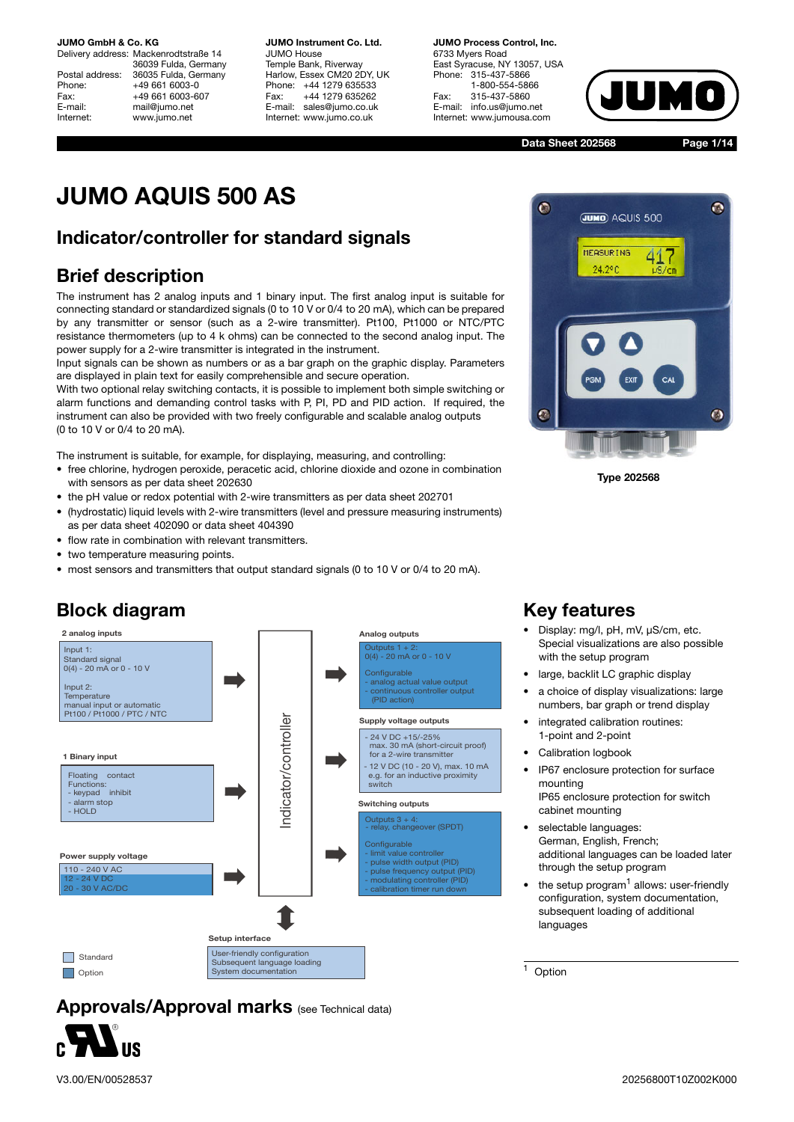Delivery address: Mackenrodtstraße 14 36039 Fulda, Germany Postal address: 36035 Fulda, Germany<br>Phone: +49 661 6003-0 +49 661 6003-0 Fax: +49 661 6003-607<br>F-mail: mail@iumo.net mail@jumo.net Internet: www.jumo.net

**JUMO Instrument Co. Ltd.** JUMO House Temple Bank, Riverway Harlow, Essex CM20 2DY, UK Phone: +44 1279 635533 Fax: +44 1279 635262 E-mail: sales@jumo.co.uk Internet: www.jumo.co.uk

**JUMO Process Control, Inc.** 6733 Myers Road East Syracuse, NY 13057, USA Phone: 315-437-5866 1-800-554-5866 Fax: 315-437-5860 E-mail: info.us@jumo.net Internet: www.jumousa.com



**Data Sheet 202568**

**Page 1/14**

# **JUMO AQUIS 500 AS**

# **Indicator/controller for standard signals**

# **Brief description**

The instrument has 2 analog inputs and 1 binary input. The first analog input is suitable for connecting standard or standardized signals (0 to 10 V or 0/4 to 20 mA), which can be prepared by any transmitter or sensor (such as a 2-wire transmitter). Pt100, Pt1000 or NTC/PTC resistance thermometers (up to 4 k ohms) can be connected to the second analog input. The power supply for a 2-wire transmitter is integrated in the instrument.

Input signals can be shown as numbers or as a bar graph on the graphic display. Parameters are displayed in plain text for easily comprehensible and secure operation.

With two optional relay switching contacts, it is possible to implement both simple switching or alarm functions and demanding control tasks with P, PI, PD and PID action. If required, the instrument can also be provided with two freely configurable and scalable analog outputs (0 to 10 V or 0/4 to 20 mA).

The instrument is suitable, for example, for displaying, measuring, and controlling:

- free chlorine, hydrogen peroxide, peracetic acid, chlorine dioxide and ozone in combination with sensors as per data sheet 202630
- the pH value or redox potential with 2-wire transmitters as per data sheet 202701
- (hydrostatic) liquid levels with 2-wire transmitters (level and pressure measuring instruments) as per data sheet 402090 or data sheet 404390
- flow rate in combination with relevant transmitters.
- two temperature measuring points.
- most sensors and transmitters that output standard signals (0 to 10 V or 0/4 to 20 mA).

# **Block diagram**



# **Approvals/Approval marks** (see Technical data)



 $\bullet$ O **JUMO** AQUIS 500 **MEASURTNG** 24.290  $\bullet$ 

**Type 202568**

# **Key features**

- Display: mg/l, pH, mV, µS/cm, etc. Special visualizations are also possible with the setup program
- large, backlit LC graphic display
- a choice of display visualizations: large numbers, bar graph or trend display
- integrated calibration routines: 1-point and 2-point
- Calibration logbook
- IP67 enclosure protection for surface mounting IP65 enclosure protection for switch cabinet mounting
- selectable languages: German, English, French; additional languages can be loaded later through the setup program
- $\bullet$  the setup program<sup>1</sup> allows: user-friendly configuration, system documentation, subsequent loading of additional languages

**Option** 

V3.00/EN/00528537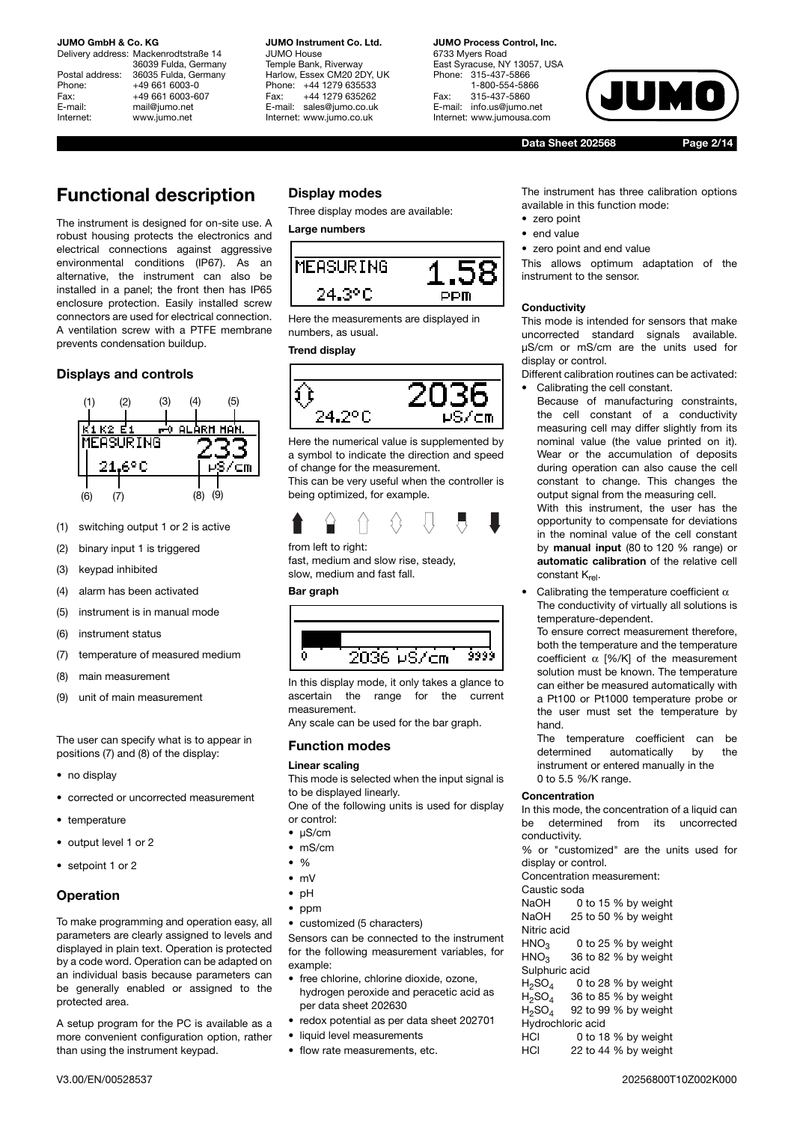Delivery address: Mackenrodtstraße 14 36039 Fulda, Germany Postal address: 36035 Fulda, Germany<br>Phone: +49 661 6003-0 +49 661 6003-0 Fax: +49 661 6003-607<br>E-mail: mail@iumo.net mail@jumo.net Internet: www.jumo.net

**JUMO Instrument Co. Ltd.** JUMO House Temple Bank, Riverway Harlow, Essex CM20 2DY, UK Phone: +44 1279 635533 Fax: +44 1279 635262 E-mail: sales@jumo.co.uk Internet: www.jumo.co.uk

**JUMO Process Control, Inc.** 6733 Myers Road East Syracuse, NY 13057, USA<br>Phone: 315-437-5866 Phone: 315-437-5866 1-800-554-5866 Fax: 315-437-5860 E-mail: info.us@jumo.net Internet: www.jumousa.com



**Data Sheet 202568 Page 2/14**



# **Functional description**

The instrument is designed for on-site use. A robust housing protects the electronics and electrical connections against aggressive environmental conditions (IP67). As an alternative, the instrument can also be installed in a panel; the front then has IP65 enclosure protection. Easily installed screw connectors are used for electrical connection. A ventilation screw with a PTFE membrane prevents condensation buildup.

# **Displays and controls**



- (1) switching output 1 or 2 is active
- (2) binary input 1 is triggered
- (3) keypad inhibited
- (4) alarm has been activated
- (5) instrument is in manual mode
- (6) instrument status
- (7) temperature of measured medium
- (8) main measurement
- (9) unit of main measurement

The user can specify what is to appear in positions (7) and (8) of the display:

- no display
- corrected or uncorrected measurement
- temperature
- output level 1 or 2
- setpoint 1 or 2

# **Operation**

To make programming and operation easy, all parameters are clearly assigned to levels and displayed in plain text. Operation is protected by a code word. Operation can be adapted on an individual basis because parameters can be generally enabled or assigned to the protected area.

A setup program for the PC is available as a more convenient configuration option, rather than using the instrument keypad.

### **Display modes**

Three display modes are available:

# **Large numbers**



Here the measurements are displayed in numbers, as usual.

#### **Trend display**



Here the numerical value is supplemented by a symbol to indicate the direction and speed of change for the measurement.

This can be very useful when the controller is being optimized, for example.



from left to right:

fast, medium and slow rise, steady, slow, medium and fast fall.

## **Bar graph**



In this display mode, it only takes a glance to ascertain the range for the current measurement.

Any scale can be used for the bar graph.

#### **Function modes**

#### **Linear scaling**

This mode is selected when the input signal is to be displayed linearly.

One of the following units is used for display or control:

- µS/cm
- mS/cm
- %
- mV
- pH
- ppm
- customized (5 characters)

Sensors can be connected to the instrument for the following measurement variables, for example:

- free chlorine, chlorine dioxide, ozone, hydrogen peroxide and peracetic acid as per data sheet 202630
- redox potential as per data sheet 202701
- liquid level measurements
- flow rate measurements, etc.

The instrument has three calibration options available in this function mode:

- zero point
- end value
- zero point and end value

This allows optimum adaptation of the instrument to the sensor.

### **Conductivity**

This mode is intended for sensors that make uncorrected standard signals available. µS/cm or mS/cm are the units used for display or control.

- Different calibration routines can be activated: • Calibrating the cell constant.
	- Because of manufacturing constraints, the cell constant of a conductivity measuring cell may differ slightly from its nominal value (the value printed on it). Wear or the accumulation of deposits during operation can also cause the cell constant to change. This changes the output signal from the measuring cell.

With this instrument, the user has the opportunity to compensate for deviations in the nominal value of the cell constant by **manual input** (80 to 120 % range) or **automatic calibration** of the relative cell constant K<sub>rel</sub>.

Calibrating the temperature coefficient  $\alpha$ The conductivity of virtually all solutions is temperature-dependent.

To ensure correct measurement therefore, both the temperature and the temperature coefficient  $α$  [%/K] of the measurement solution must be known. The temperature can either be measured automatically with a Pt100 or Pt1000 temperature probe or the user must set the temperature by hand.

The temperature coefficient can be determined automatically by the instrument or entered manually in the 0 to 5.5 %/K range.

#### **Concentration**

In this mode, the concentration of a liquid can be determined from its uncorrected conductivity.

% or "customized" are the units used for display or control.

#### Concentration measurement:

Caustic soda

NaOH 0 to 15 % by weight NaOH 25 to 50 % by weight

Nitric acid<br>HNO<sub>3</sub>

 $HNO<sub>3</sub>$  0 to 25 % by weight<br> $HNO<sub>3</sub>$  36 to 82 % by weight 36 to 82 % by weight

- 
- Sulphuric acid<br> $H_2SO_4$  0 to
- $H_2$ SO<sub>4</sub> 0 to 28 % by weight<br> $H_2$ SO<sub>4</sub> 36 to 85 % by weight  $H_2$ SO<sub>4</sub> 36 to 85 % by weight<br> $H_2$ SO<sub>4</sub> 92 to 99 % by weight
- 92 to 99 % by weight
- Hydrochloric acid
- HCl 0 to 18 % by weight HCl 22 to 44 % by weight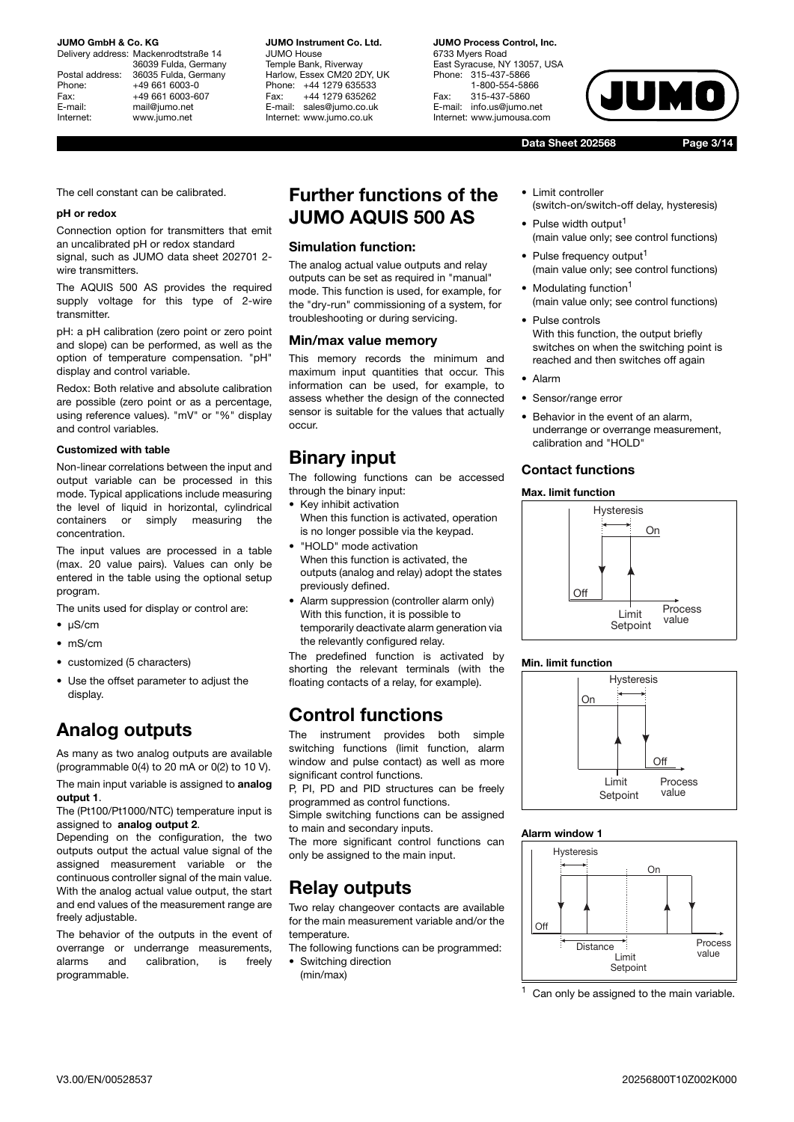Delivery address: Mackenrodtstraße 14 36039 Fulda, Germany Postal address: 36035 Fulda, Germany<br>Phone: +49 661 6003-0 +49 661 6003-0 Fax: +49 661 6003-607<br>E-mail: mail@iumo.net mail@jumo.net Internet: www.jumo.net

**JUMO Instrument Co. Ltd.** JUMO House Temple Bank, Riverway Harlow, Essex CM20 2DY, UK Phone: +44 1279 635533 Fax: +44 1279 635262 E-mail: sales@jumo.co.uk Internet: www.jumo.co.uk

**JUMO Process Control, Inc.** 6733 Myers Road East Syracuse, NY 13057, USA<br>Phone: 315-437-5866 Phone: 315-437-5866 1-800-554-5866 Fax: 315-437-5860 E-mail: info.us@jumo.net Internet: www.jumousa.com



**Data Sheet 202568 Page 3/14**



The cell constant can be calibrated.

### **pH or redox**

Connection option for transmitters that emit an uncalibrated pH or redox standard signal, such as JUMO data sheet 202701 2 wire transmitters.

The AQUIS 500 AS provides the required supply voltage for this type of 2-wire transmitter.

pH: a pH calibration (zero point or zero point and slope) can be performed, as well as the option of temperature compensation. "pH" display and control variable.

Redox: Both relative and absolute calibration are possible (zero point or as a percentage, using reference values). "mV" or "%" display and control variables.

### **Customized with table**

Non-linear correlations between the input and output variable can be processed in this mode. Typical applications include measuring the level of liquid in horizontal, cylindrical containers or simply measuring the concentration.

The input values are processed in a table (max. 20 value pairs). Values can only be entered in the table using the optional setup program.

The units used for display or control are:

- µS/cm
- mS/cm
- customized (5 characters)
- Use the offset parameter to adjust the display.

# **Analog outputs**

As many as two analog outputs are available (programmable  $0(4)$  to 20 mA or  $0(2)$  to 10 V).

The main input variable is assigned to **analog output 1**.

The (Pt100/Pt1000/NTC) temperature input is assigned to **analog output 2**.

Depending on the configuration, the two outputs output the actual value signal of the assigned measurement variable or the continuous controller signal of the main value. With the analog actual value output, the start and end values of the measurement range are freely adjustable.

The behavior of the outputs in the event of overrange or underrange measurements, alarms and calibration, is freely programmable.

# **Further functions of the JUMO AQUIS 500 AS**

# **Simulation function:**

The analog actual value outputs and relay outputs can be set as required in "manual" mode. This function is used, for example, for the "dry-run" commissioning of a system, for troubleshooting or during servicing.

## **Min/max value memory**

This memory records the minimum and maximum input quantities that occur. This information can be used, for example, to assess whether the design of the connected sensor is suitable for the values that actually occur.

# **Binary input**

The following functions can be accessed through the binary input:

- Key inhibit activation When this function is activated, operation is no longer possible via the keypad.
- "HOLD" mode activation When this function is activated, the outputs (analog and relay) adopt the states previously defined.
- Alarm suppression (controller alarm only) With this function, it is possible to temporarily deactivate alarm generation via the relevantly configured relay.

The predefined function is activated by shorting the relevant terminals (with the floating contacts of a relay, for example).

# **Control functions**

The instrument provides both simple switching functions (limit function, alarm window and pulse contact) as well as more significant control functions.

P, PI, PD and PID structures can be freely programmed as control functions.

Simple switching functions can be assigned to main and secondary inputs.

The more significant control functions can only be assigned to the main input.

# **Relay outputs**

Two relay changeover contacts are available for the main measurement variable and/or the temperature.

The following functions can be programmed: • Switching direction

(min/max)

- Limit controller
- (switch-on/switch-off delay, hysteresis) • Pulse width output<sup>1</sup>
- (main value only; see control functions)  $\bullet$  Pulse frequency output<sup>1</sup>
- (main value only; see control functions)
- Modulating function<sup>1</sup> (main value only; see control functions)
- Pulse controls With this function, the output briefly switches on when the switching point is reached and then switches off again
- Alarm
- Sensor/range error
- Behavior in the event of an alarm, underrange or overrange measurement, calibration and "HOLD"

# **Contact functions**

### **Max. limit function**



### **Min. limit function**



### **Alarm window 1**



Can only be assigned to the main variable.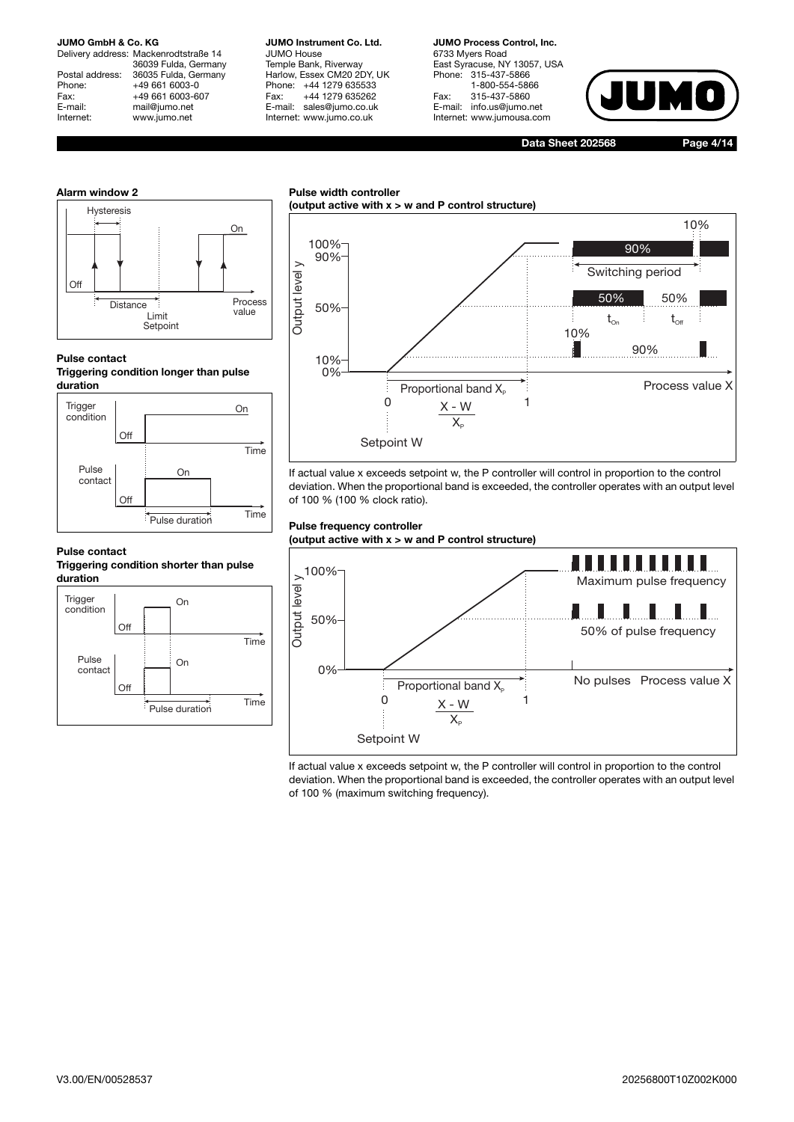Delivery address: Mackenrodtstraße 14 36039 Fulda, Germany Postal address: 36035 Fulda, Germany<br>Phone: +49 661 6003-0 Phone: +49 661 6003-0<br>Fax: +49 661 6003-6 Fax: +49 661 6003-607<br>E-mail: mail@iumo.net mail@jumo.net Internet: www.jumo.net

**JUMO Instrument Co. Ltd.** JUMO House Temple Bank, Riverway Harlow, Essex CM20 2DY, UK Phone: +44 1279 635533<br>Fax: +44 1279 635262 +44 1279 635262 E-mail: sales@jumo.co.uk Internet: www.jumo.co.uk

**Pulse width controller**

**JUMO Process Control, Inc.** 6733 Myers Road East Syracuse, NY 13057, USA<br>Phone: 315-437-5866 Phone: 315-437-5866 1-800-554-5866 Fax: 315-437-5860 info.us@jumo.net Internet: www.jumousa.com



**Data Sheet 202568 Page 4/14**

# **Alarm window 2**



#### **Pulse contact**

**Triggering condition longer than pulse duration**



### **Pulse contact**

**Triggering condition shorter than pulse duration**



### **(output active with x > w and P control structure)** 10% 100% 00% 90% 90% 90% 90% Output level y Output level y Switching period 50% 50% 50%  $t_{\alpha}$  $t_{\text{off}}$ 10% 90% 10% 0% Process value X Proportional band  $X_{p}$  $0 \times -W$  1  $\overline{X_{n}}$ Setpoint W

If actual value x exceeds setpoint w, the P controller will control in proportion to the control deviation. When the proportional band is exceeded, the controller operates with an output level of 100 % (100 % clock ratio).

#### **Pulse frequency controller**

**(output active with x > w and P control structure)**



If actual value x exceeds setpoint w, the P controller will control in proportion to the control deviation. When the proportional band is exceeded, the controller operates with an output level of 100 % (maximum switching frequency).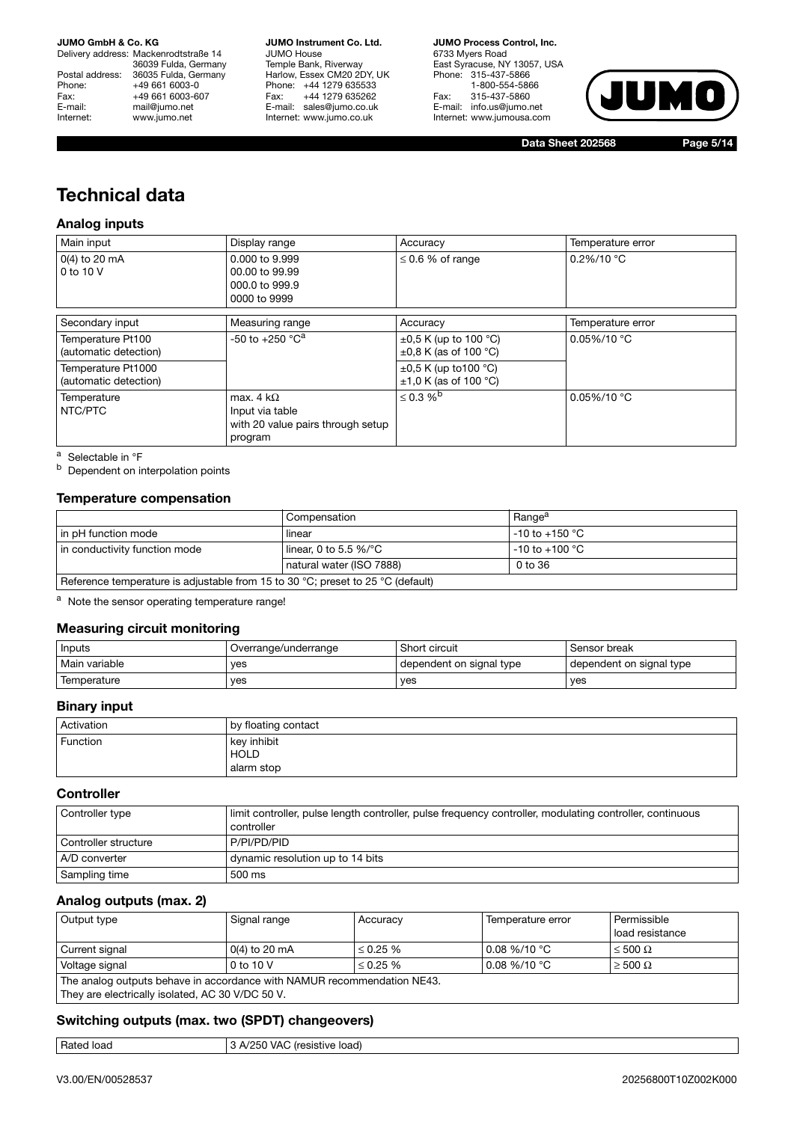Delivery address: Mackenrodtstraße 14 36039 Fulda, Germany Postal address: 36035 Fulda, Germany<br>Phone: +49 661 6003-0 Phone: +49 661 6003-0<br>Fax: +49 661 6003-6 Fax: +49 661 6003-607<br>E-mail: mail@jumo.net mail@jumo.net Internet: www.jumo.net

**JUMO Instrument Co. Ltd.** JUMO House Temple Bank, Riverway Harlow, Essex CM20 2DY, UK Phone: +44 1279 635533<br>Fax: +44 1279 635262 +44 1279 635262 E-mail: sales@jumo.co.uk Internet: www.jumo.co.uk

**JUMO Process Control, Inc.** 6733 Myers Road East Syracuse, NY 13057, USA Phone: 315-437-5866 1-800-554-5866 Fax: 315-437-5860 E-mail: info.us@jumo.net Internet: www.jumousa.com



**Data Sheet 202568 Page 5/14**

# **Technical data**

# **Analog inputs**

| Main input                                  | Display range                                                                        | Accuracy                                                 | Temperature error |
|---------------------------------------------|--------------------------------------------------------------------------------------|----------------------------------------------------------|-------------------|
| $0(4)$ to 20 mA<br>0 to 10 V                | 0.000 to 9.999<br>00,00 to 99.99<br>000.0 to 999.9<br>0000 to 9999                   | $\leq$ 0.6 % of range                                    | $0.2\% / 10 °C$   |
| Secondary input                             | Measuring range                                                                      | Accuracy                                                 | Temperature error |
| Temperature Pt100<br>(automatic detection)  | -50 to +250 $^{\circ}$ C <sup>a</sup>                                                | $\pm 0.5$ K (up to 100 °C)<br>$\pm 0.8$ K (as of 100 °C) | $0.05\%/10 °C$    |
| Temperature Pt1000<br>(automatic detection) |                                                                                      | $\pm 0.5$ K (up to 100 °C)<br>$±1.0$ K (as of 100 °C)    |                   |
| Temperature<br>NTC/PTC                      | max. 4 k $\Omega$<br>Input via table<br>with 20 value pairs through setup<br>program | $\leq$ 0.3 % <sup>b</sup>                                | $0.05\%/10 °C$    |

<sup>a</sup> Selectable in °F

**b** Dependent on interpolation points

# **Temperature compensation**

|                                                                                 | Compensation                 | Range <sup>a</sup> |
|---------------------------------------------------------------------------------|------------------------------|--------------------|
| in pH function mode                                                             | linear                       | l -10 to +150 °C . |
| in conductivity function mode                                                   | l linear. 0 to 5.5 %/°C $\,$ | $-10$ to $+100$ °C |
|                                                                                 | natural water (ISO 7888)     | 0 to 36            |
| Reference temperature is adjustable from 15 to 30 °C; preset to 25 °C (default) |                              |                    |

a Note the sensor operating temperature range!

# **Measuring circuit monitoring**

| <b>Inputs</b> | Overrange/underrange | Short circuit              | Sensor break             |
|---------------|----------------------|----------------------------|--------------------------|
| Main variable | ves                  | I dependent on signal type | dependent on signal type |
| Temperature   | ves                  | ves                        | ves                      |

# **Binary input**

| Activation      | by floating contact        |
|-----------------|----------------------------|
| <b>Function</b> | key inhibit<br><b>HOLD</b> |
|                 | alarm stop                 |

# **Controller**

| Controller type      | limit controller, pulse length controller, pulse frequency controller, modulating controller, continuous<br>controller |
|----------------------|------------------------------------------------------------------------------------------------------------------------|
| Controller structure | P/PI/PD/PID                                                                                                            |
| A/D converter        | dynamic resolution up to 14 bits                                                                                       |
| Sampling time        | 500 ms                                                                                                                 |

# **Analog outputs (max. 2)**

| Output type                                                             | Signal range    | Accuracy       | Temperature error      | Permissible<br>load resistance |
|-------------------------------------------------------------------------|-----------------|----------------|------------------------|--------------------------------|
| Current signal                                                          | $0(4)$ to 20 mA | $\leq 0.25 \%$ | $0.08\% / 10\degree C$ | $\leq 500 \Omega$              |
| Voltage signal                                                          | 0 to 10 V       | $\leq$ 0.25 %  | $0.08\% / 10\degree C$ | $\geq 500 \Omega$              |
| The analog outputs behave in accordance with NAMUR recommendation NE43. |                 |                |                        |                                |
| They are electrically isolated, AC 30 V/DC 50 V.                        |                 |                |                        |                                |

# **Switching outputs (max. two (SPDT) changeovers)**

| Rated load | ገ VAC<br>A/250<br>;(resistive load):<br>ີ |
|------------|-------------------------------------------|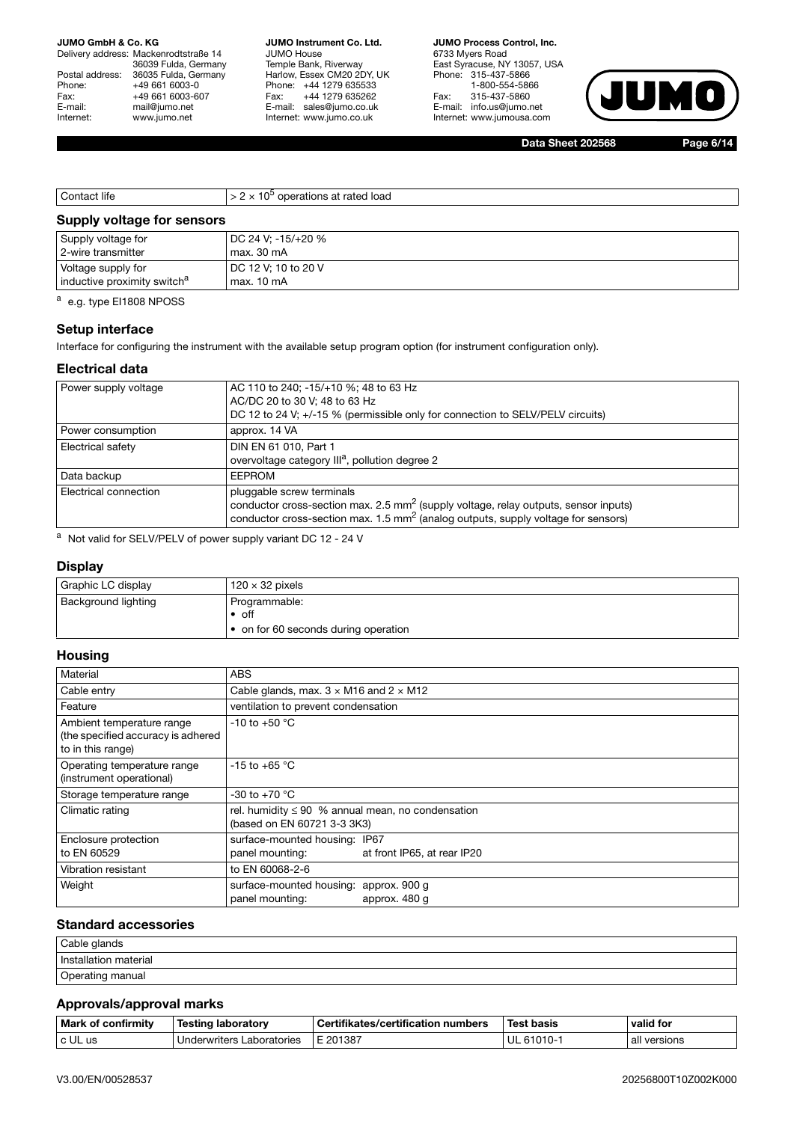Delivery address: Mackenrodtstraße 14 36039 Fulda, Germany Postal address: 36035 Fulda, Germany<br>Phone: +49 661 6003-0 Phone: +49 661 6003-0<br>Fax: +49 661 6003-6 Fax: +49 661 6003-607<br>E-mail: mail@iumo.net mail@jumo.net Internet: www.jumo.net

**JUMO Instrument Co. Ltd.** JUMO House Temple Bank, Riverway Harlow, Essex CM20 2DY, UK Phone: +44 1279 635533<br>Fax: +44 1279 635262 +44 1279 635262 E-mail: sales@jumo.co.uk Internet: www.jumo.co.uk

**JUMO Process Control, Inc.** 6733 Myers Road East Syracuse, NY 13057, USA Phone: 315-437-5866 1-800-554-5866 Fax: 315-437-5860 E-mail: info.us@jumo.net Internet: www.jumousa.com



**Data Sheet 202568 Page 6/14**

| Contact life                            | $> 2 \times 10^5$ operations at rated load |
|-----------------------------------------|--------------------------------------------|
| <b>Supply voltage for sensors</b>       |                                            |
| Supply voltage for                      | DC 24 V; -15/+20 %                         |
| 2-wire transmitter                      | max, 30 mA                                 |
| Voltage supply for                      | DC 12 V; 10 to 20 V                        |
| inductive proximity switch <sup>a</sup> | max. 10 mA                                 |

a e.g. type EI1808 NPOSS

# **Setup interface**

Interface for configuring the instrument with the available setup program option (for instrument configuration only).

# **Electrical data**

| Power supply voltage  | AC 110 to 240; -15/+10 %; 48 to 63 Hz<br>AC/DC 20 to 30 V; 48 to 63 Hz<br>DC 12 to 24 V; +/-15 % (permissible only for connection to SELV/PELV circuits)                                                                      |
|-----------------------|-------------------------------------------------------------------------------------------------------------------------------------------------------------------------------------------------------------------------------|
| Power consumption     | approx. 14 VA                                                                                                                                                                                                                 |
| Electrical safety     | DIN EN 61 010, Part 1<br>overvoltage category III <sup>a</sup> , pollution degree 2                                                                                                                                           |
| Data backup           | <b>EEPROM</b>                                                                                                                                                                                                                 |
| Electrical connection | pluggable screw terminals<br>conductor cross-section max. 2.5 mm <sup>2</sup> (supply voltage, relay outputs, sensor inputs)<br>conductor cross-section max. 1.5 mm <sup>2</sup> (analog outputs, supply voltage for sensors) |

a Not valid for SELV/PELV of power supply variant DC 12 - 24 V

# **Display**

| Graphic LC display         | $120 \times 32$ pixels               |
|----------------------------|--------------------------------------|
| <b>Background lighting</b> | Programmable:<br>$\bullet$ off       |
|                            | • on for 60 seconds during operation |

# **Housing**

| Material                                                                             | <b>ABS</b>                                                                            |
|--------------------------------------------------------------------------------------|---------------------------------------------------------------------------------------|
| Cable entry                                                                          | Cable glands, max. $3 \times M16$ and $2 \times M12$                                  |
| Feature                                                                              | ventilation to prevent condensation                                                   |
| Ambient temperature range<br>(the specified accuracy is adhered<br>to in this range) | -10 to +50 $^{\circ}$ C                                                               |
| Operating temperature range<br>(instrument operational)                              | -15 to +65 $^{\circ}$ C                                                               |
| Storage temperature range                                                            | -30 to +70 $^{\circ}$ C                                                               |
| Climatic rating                                                                      | rel. humidity $\leq 90$ % annual mean, no condensation<br>(based on EN 60721 3-3 3K3) |
| Enclosure protection<br>to EN 60529                                                  | surface-mounted housing: IP67<br>at front IP65, at rear IP20<br>panel mounting:       |
| Vibration resistant                                                                  | to EN 60068-2-6                                                                       |
| Weight                                                                               | surface-mounted housing: approx. 900 g<br>panel mounting:<br>approx. 480 q            |

# **Standard accessories**

| Cable glands               |
|----------------------------|
| ı material<br>Installation |
| Operating manual           |

# **Approvals/approval marks**

| <b>Mark</b><br>l confirmitv<br>ΩŤ | Testing laboratory             | <br>Certifikates/certification numbers | <b>Test basis</b>  | valid for    |  |  |
|-----------------------------------|--------------------------------|----------------------------------------|--------------------|--------------|--|--|
| c UL us                           | ∟aboratories<br>Underwriters I | 201387                                 | UL<br>61010<br>10- | all versions |  |  |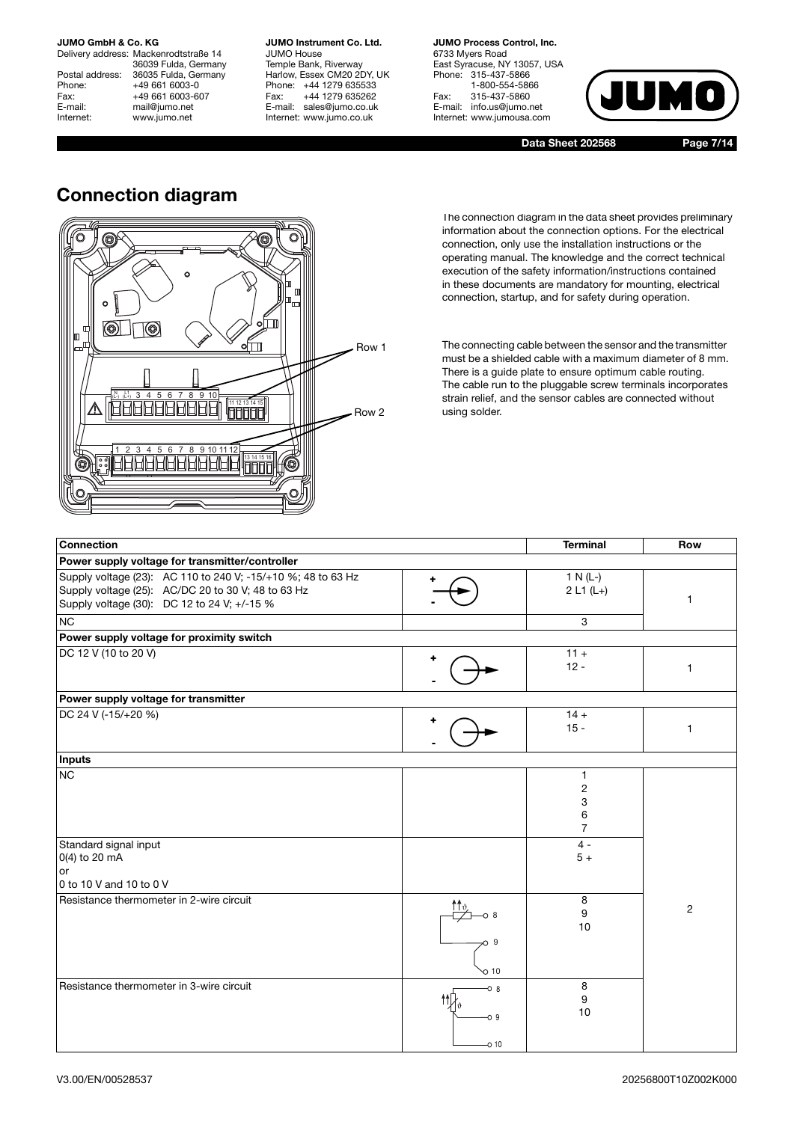Delivery address: Mackenrodtstraße 14 36039 Fulda, Germany Postal address: 36035 Fulda, Germany<br>Phone: +49 661 6003-0 Phone: +49 661 6003-0<br>Fax: +49 661 6003-6 Fax: +49 661 6003-607<br>E-mail: mail@iumo.net mail@jumo.net Internet: www.jumo.net

**JUMO Instrument Co. Ltd.** JUMO House Temple Bank, Riverway Harlow, Essex CM20 2DY, UK Phone: +44 1279 635533<br>Fax: +44 1279 635262 +44 1279 635262 E-mail: sales@jumo.co.uk Internet: www.jumo.co.uk

**JUMO Process Control, Inc.** 6733 Myers Road East Syracuse, NY 13057, USA Phone: 315-437-5866 1-800-554-5866 Fax: 315-437-5860 E-mail: info.us@jumo.net Internet: www.jumousa.com



**Data Sheet 202568 Page 7/14**

# **Connection diagram**



The connection diagram in the data sheet provides preliminary information about the connection options. For the electrical connection, only use the installation instructions or the operating manual. The knowledge and the correct technical execution of the safety information/instructions contained in these documents are mandatory for mounting, electrical connection, startup, and for safety during operation.

The connecting cable between the sensor and the transmitter must be a shielded cable with a maximum diameter of 8 mm. There is a guide plate to ensure optimum cable routing. The cable run to the pluggable screw terminals incorporates strain relief, and the sensor cables are connected without using solder.

| Connection                                                                                                                                                        | <b>Terminal</b>            | Row                                                      |                |  |  |  |
|-------------------------------------------------------------------------------------------------------------------------------------------------------------------|----------------------------|----------------------------------------------------------|----------------|--|--|--|
| Power supply voltage for transmitter/controller                                                                                                                   |                            |                                                          |                |  |  |  |
| Supply voltage (23): AC 110 to 240 V; -15/+10 %; 48 to 63 Hz<br>Supply voltage (25): AC/DC 20 to 30 V; 48 to 63 Hz<br>Supply voltage (30): DC 12 to 24 V; +/-15 % |                            | $1 N (L-)$<br>$2 L1 (L+)$                                | 1              |  |  |  |
| NC                                                                                                                                                                |                            | 3                                                        |                |  |  |  |
| Power supply voltage for proximity switch                                                                                                                         |                            |                                                          |                |  |  |  |
| DC 12 V (10 to 20 V)                                                                                                                                              | ٠                          | $11 +$<br>$12 -$                                         |                |  |  |  |
| Power supply voltage for transmitter                                                                                                                              |                            |                                                          |                |  |  |  |
| DC 24 V (-15/+20 %)                                                                                                                                               |                            | $14 +$<br>$15 -$                                         | 1              |  |  |  |
| Inputs                                                                                                                                                            |                            |                                                          |                |  |  |  |
| <b>NC</b>                                                                                                                                                         |                            | 1<br>$\overline{\mathbf{c}}$<br>3<br>6<br>$\overline{7}$ |                |  |  |  |
| Standard signal input<br>0(4) to 20 mA<br>or<br>0 to 10 V and 10 to 0 V                                                                                           |                            | $4 -$<br>$5+$                                            |                |  |  |  |
| Resistance thermometer in 2-wire circuit                                                                                                                          | 09<br>$\circ$ 10           | 8<br>9<br>10                                             | $\overline{c}$ |  |  |  |
| Resistance thermometer in 3-wire circuit                                                                                                                          | 08<br>łł<br>O 9<br>$-0.10$ | 8<br>9<br>10                                             |                |  |  |  |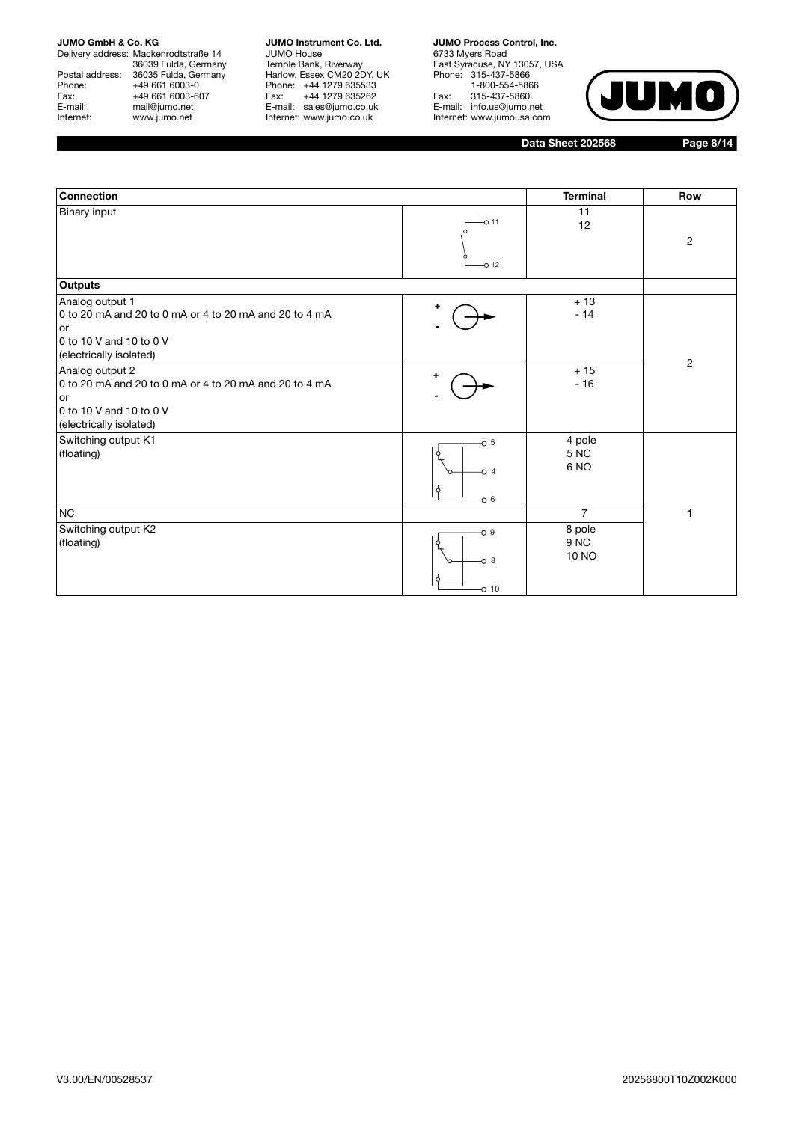Delivery address: Mackenrodtstraße 14 36039 Fulda, Germany Postal address: 36035 Fulda, Germany Phone: +49 661 6003-0<br>
Fax: +49 661 6003-6<br>
E-mail: mail@jumo.net +49 661 6003-607 E-mail: mail@jumo.net<br>
Internet: www.jumo.net www.jumo.net

**JUMO Instrument Co. Ltd.** JUMO House Temple Bank, Riverway Harlow, Essex CM20 2DY, UK Phone: +44 1279 635533 Fax: +44 1279 635262 E-mail: sales@jumo.co.uk Internet: www.jumo.co.uk

**JUMO Process Control, Inc.** 6733 Myers Road East Syracuse, NY 13057, USA Phone: 315-437-5866 1-800-554-5866 Fax: 315-437-5860 E-mail: info.us@jumo.net Internet: www.jumousa.com



**Data Sheet 202568 Page 8/14**

| <b>Connection</b>                                                                                                                     | <b>Terminal</b>             | <b>Row</b>                     |                |  |
|---------------------------------------------------------------------------------------------------------------------------------------|-----------------------------|--------------------------------|----------------|--|
| <b>Binary input</b>                                                                                                                   | $O$ 11<br>$-0.12$           | 11<br>12                       | $\overline{c}$ |  |
| <b>Outputs</b>                                                                                                                        |                             |                                |                |  |
| Analog output 1<br>0 to 20 mA and 20 to 0 mA or 4 to 20 mA and 20 to 4 mA<br>or<br>0 to 10 V and 10 to 0 V<br>(electrically isolated) | ۰                           | $+13$<br>$-14$                 | $\overline{2}$ |  |
| Analog output 2<br>0 to 20 mA and 20 to 0 mA or 4 to 20 mA and 20 to 4 mA<br>or<br>0 to 10 V and 10 to 0 V<br>(electrically isolated) |                             | $+15$<br>$-16$                 |                |  |
| Switching output K1<br>(floating)                                                                                                     | $-0.5$<br>$\circ$ 4<br>06   | 4 pole<br>5 NC<br>6 NO         |                |  |
| <b>NC</b>                                                                                                                             |                             | $\overline{7}$                 | $\mathbf{1}$   |  |
| Switching output K2<br>(floating)                                                                                                     | $-0.9$<br>$-0.8$<br>$-0.10$ | 8 pole<br>9 NC<br><b>10 NO</b> |                |  |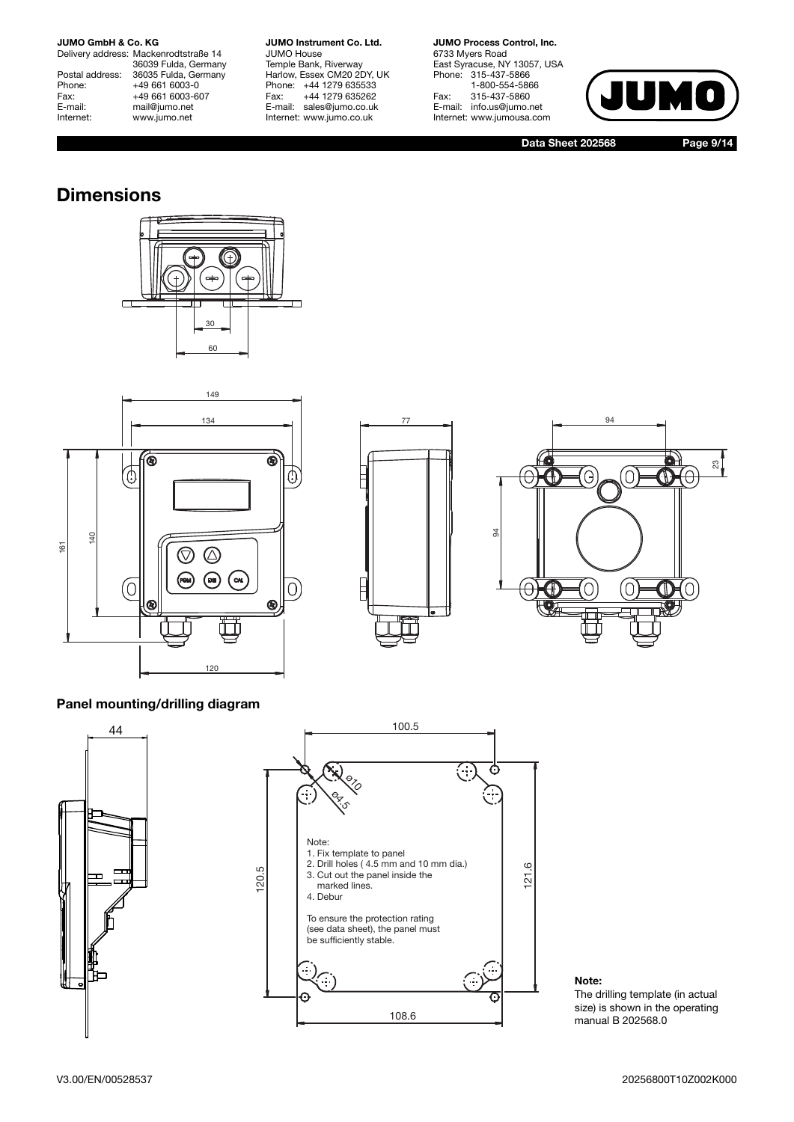Delivery address: Mackenrodtstraße 14 36039 Fulda, Germany Postal address: 36035 Fulda, Germany Phone: +49 661 6003-0<br>Fax: +49 661 6003-6 Fax: +49 661 6003-607<br>E-mail: mail@jumo.net mail@jumo.net Internet: www.jumo.net

**JUMO Instrument Co. Ltd.** JUMO House Temple Bank, Riverway Harlow, Essex CM20 2DY, UK Phone: +44 1279 635533<br>Fax: +44 1279 635262 +44 1279 635262 E-mail: sales@jumo.co.uk Internet: www.jumo.co.uk

**JUMO Process Control, Inc.** 6733 Myers Road East Syracuse, NY 13057, USA Phone: 315-437-5866 1-800-554-5866 Fax: 315-437-5860 E-mail: info.us@jumo.net Internet: www.jumousa.com



**Data Sheet 202568 Page 9/14**

# **Dimensions**









# **Panel mounting/drilling diagram**



**Note:**

The drilling template (in actual size) is shown in the operating manual B 202568.0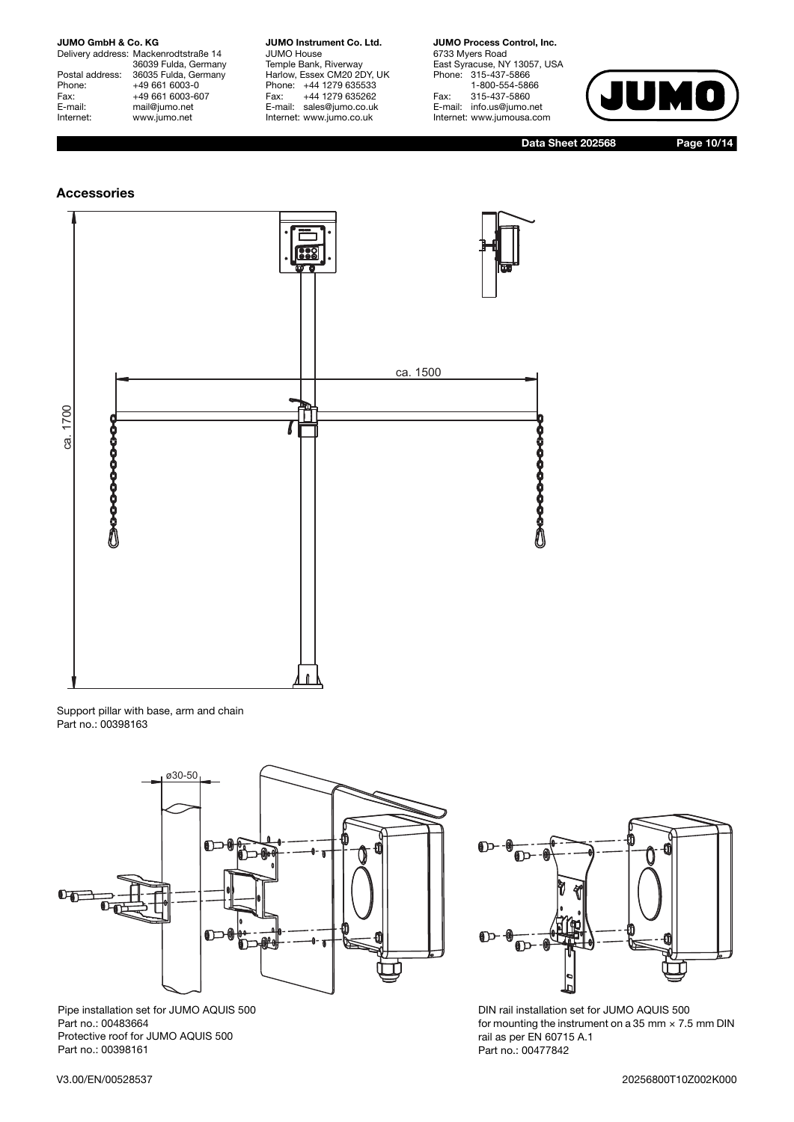Delivery address: Mackenrodtstraße 14 36039 Fulda, Germany Postal address: 36035 Fulda, Germany Phone: +49 661 6003-0<br>Fax: +49 661 6003-6 Fax: +49 661 6003-607<br>E-mail: mail@jumo.net mail@jumo.net Internet: www.jumo.net

**JUMO Instrument Co. Ltd.** JUMO House Temple Bank, Riverway Harlow, Essex CM20 2DY, UK Phone: +44 1279 635533<br>Fax: +44 1279 635262 +44 1279 635262 E-mail: sales@jumo.co.uk Internet: www.jumo.co.uk

**JUMO Process Control, Inc.** 6733 Myers Road East Syracuse, NY 13057, USA Phone: 315-437-5866 1-800-554-5866 Fax: 315-437-5860 E-mail: info.us@jumo.net Internet: www.jumousa.com



**Data Sheet 202568 Page 10/14**

# **Accessories**



Support pillar with base, arm and chain Part no.: 00398163



Pipe installation set for JUMO AQUIS 500 Part no.: 00483664 Protective roof for JUMO AQUIS 500 Part no.: 00398161



DIN rail installation set for JUMO AQUIS 500 for mounting the instrument on a 35 mm  $\times$  7.5 mm DIN rail as per EN 60715 A.1 Part no.: 00477842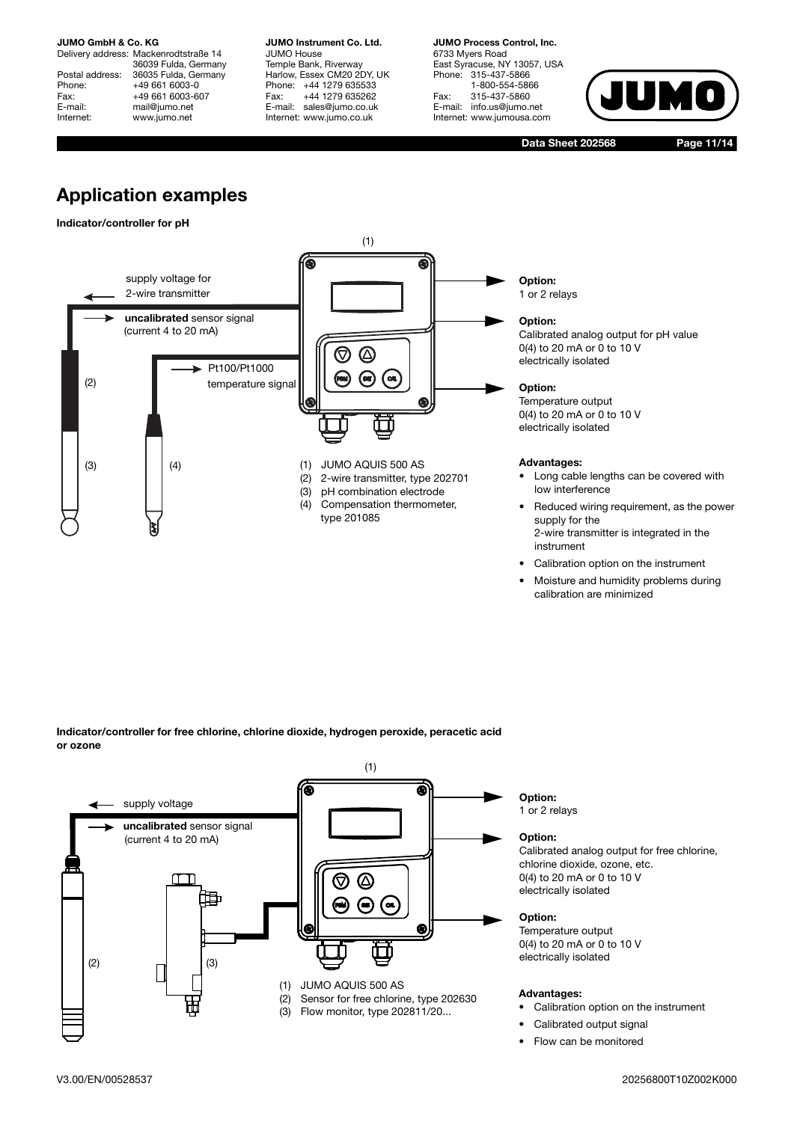Delivery address: Mackenrodtstraße 14 36039 Fulda, Germany Postal address: 36035 Fulda, Germany<br>Phone: +49 661 6003-0 Phone: +49 661 6003-0<br>Fax: +49 661 6003-6 Fax: +49 661 6003-607<br>E-mail: mail@iumo.net mail@jumo.net Internet: www.jumo.net

**JUMO Instrument Co. Ltd.** JUMO House Temple Bank, Riverway Harlow, Essex CM20 2DY, UK Phone: +44 1279 635533 Fax: +44 1279 635262 E-mail: sales@jumo.co.uk Internet: www.jumo.co.uk

**JUMO Process Control, Inc.** 6733 Myers Road East Syracuse, NY 13057, USA Phone: 315-437-5866 1-800-554-5866 Fax: 315-437-5860 E-mail: info.us@jumo.net Internet: www.jumousa.com



**Data Sheet 202568 Page 11/14**

# **Application examples**

# **Indicator/controller for pH**



**Option:** 1 or 2 relays

## **Option:**

Calibrated analog output for pH value 0(4) to 20 mA or 0 to 10 V electrically isolated

### **Option:**

Temperature output 0(4) to 20 mA or 0 to 10 V electrically isolated

#### **Advantages:**

- Long cable lengths can be covered with low interference
- Reduced wiring requirement, as the power supply for the 2-wire transmitter is integrated in the instrument
- Calibration option on the instrument
- Moisture and humidity problems during calibration are minimized

**Indicator/controller for free chlorine, chlorine dioxide, hydrogen peroxide, peracetic acid or ozone**



**Option:** 1 or 2 relays

#### **Option:**

Calibrated analog output for free chlorine, chlorine dioxide, ozone, etc. 0(4) to 20 mA or 0 to 10 V electrically isolated

#### **Option:**

Temperature output 0(4) to 20 mA or 0 to 10 V electrically isolated

#### **Advantages:**

- Calibration option on the instrument
- Calibrated output signal
- Flow can be monitored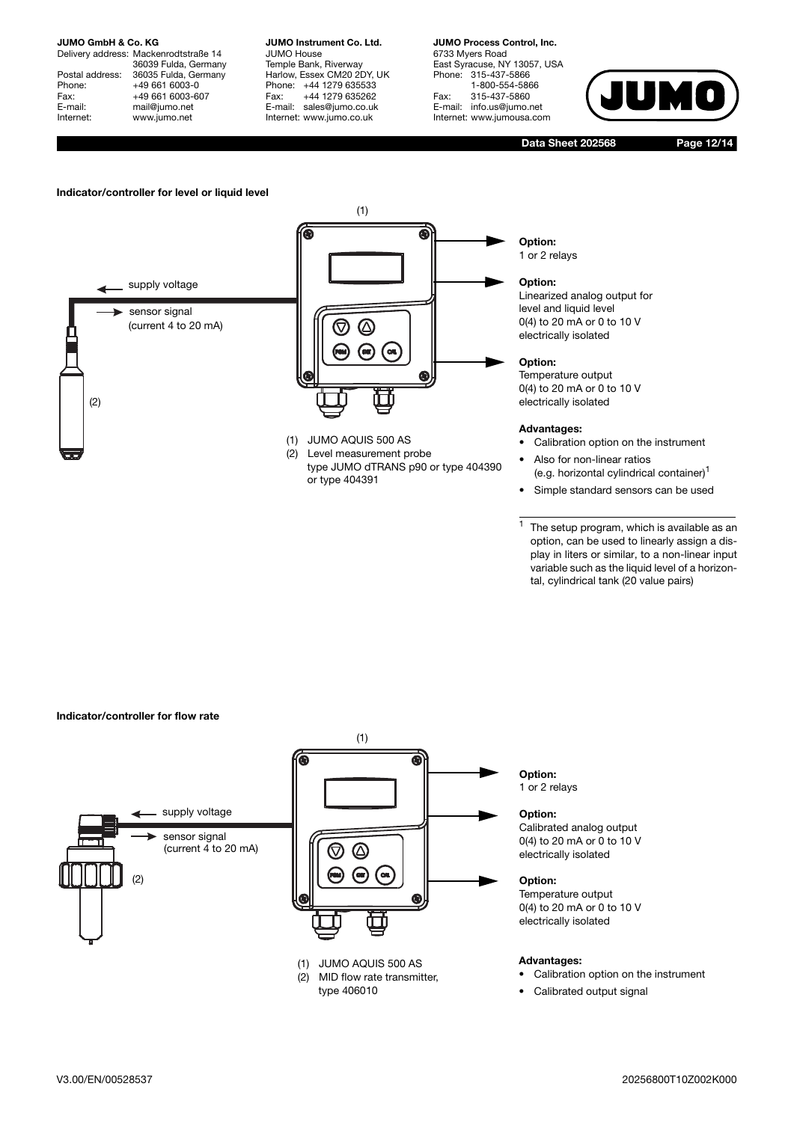Delivery address: Mackenrodtstraße 14 36039 Fulda, Germany Postal address: 36035 Fulda, Germany<br>Phone: +49 661 6003-0 Phone: +49 661 6003-0<br>Fax: +49 661 6003-6 Fax: +49 661 6003-607<br>E-mail: mail@iumo.net mail@jumo.net Internet: www.jumo.net

**JUMO Instrument Co. Ltd.** JUMO House Temple Bank, Riverway Harlow, Essex CM20 2DY, UK Phone: +44 1279 635533<br>Fax: +44 1279 635262 +44 1279 635262 E-mail: sales@jumo.co.uk Internet: www.jumo.co.uk

**JUMO Process Control, Inc.** 6733 Myers Road East Syracuse, NY 13057, USA Phone: 315-437-5866 1-800-554-5866 Fax: 315-437-5860 E-mail: info.us@jumo.net Internet: www.jumousa.com



**Data Sheet 202568 Page 12/14**



type JUMO dTRANS p90 or type 404390 or type 404391

**Option:** 1 or 2 relays

#### **Option:**

Linearized analog output for level and liquid level 0(4) to 20 mA or 0 to 10 V electrically isolated

# **Option:**

Temperature output 0(4) to 20 mA or 0 to 10 V electrically isolated

#### **Advantages:**

- Calibration option on the instrument
- Also for non-linear ratios (e.g. horizontal cylindrical container)<sup>1</sup>
- Simple standard sensors can be used
- $<sup>1</sup>$  The setup program, which is available as an</sup> option, can be used to linearly assign a display in liters or similar, to a non-linear input variable such as the liquid level of a horizontal, cylindrical tank (20 value pairs)

#### **Indicator/controller for flow rate**





(1) JUMO AQUIS 500 AS (2) MID flow rate transmitter, type 406010

**Option:** 1 or 2 relays

### **Option:**

Calibrated analog output 0(4) to 20 mA or 0 to 10 V electrically isolated

# **Option:**

Temperature output 0(4) to 20 mA or 0 to 10 V electrically isolated

#### **Advantages:**

- Calibration option on the instrument
- Calibrated output signal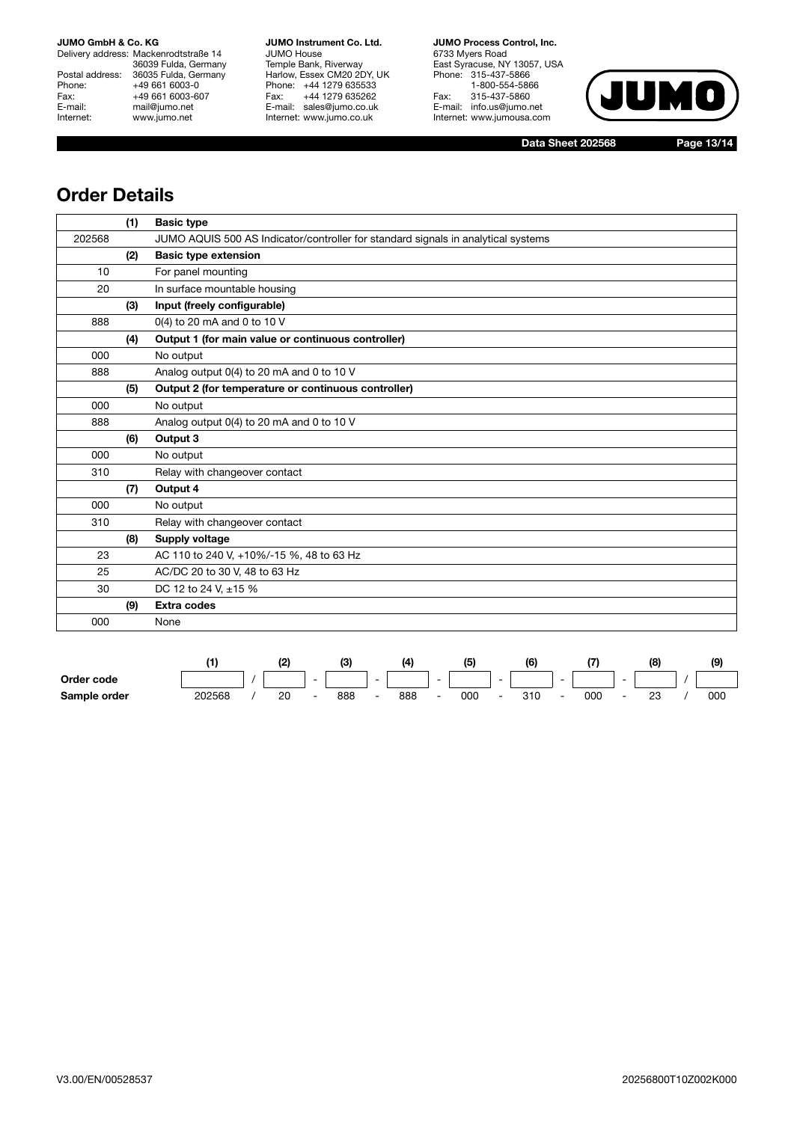Delivery address: Mackenrodtstraße 14 36039 Fulda, Germany Postal address: 36035 Fulda, Germany Phone: +49 661 6003-0<br>Fax: +49 661 6003-60 Fax: +49 661 6003-607<br>E-mail: mail@jumo.net E-mail: mail@jumo.net<br>Internet: www.iumo.net www.jumo.net

**JUMO Instrument Co. Ltd.** JUMO House Temple Bank, Riverway Harlow, Essex CM20 2DY, UK Phone: +44 1279 635533 Fax: +44 1279 635262 E-mail: sales@jumo.co.uk Internet: www.jumo.co.uk

**JUMO Process Control, Inc.** 6733 Myers Road East Syracuse, NY 13057, USA Phone: 315-437-5866 1-800-554-5866 Fax: 315-437-5860 E-mail: info.us@jumo.net Internet: www.jumousa.com



**Data Sheet 202568 Page 13/14**

# **Order Details**

|        | (1) | <b>Basic type</b>                                                                 |
|--------|-----|-----------------------------------------------------------------------------------|
| 202568 |     | JUMO AQUIS 500 AS Indicator/controller for standard signals in analytical systems |
|        | (2) | <b>Basic type extension</b>                                                       |
| 10     |     | For panel mounting                                                                |
| 20     |     | In surface mountable housing                                                      |
|        | (3) | Input (freely configurable)                                                       |
| 888    |     | 0(4) to 20 mA and 0 to 10 V                                                       |
|        | (4) | Output 1 (for main value or continuous controller)                                |
| 000    |     | No output                                                                         |
| 888    |     | Analog output 0(4) to 20 mA and 0 to 10 V                                         |
|        | (5) | Output 2 (for temperature or continuous controller)                               |
| 000    |     | No output                                                                         |
| 888    |     | Analog output 0(4) to 20 mA and 0 to 10 V                                         |
|        | (6) | Output 3                                                                          |
| 000    |     | No output                                                                         |
| 310    |     | Relay with changeover contact                                                     |
|        | (7) | Output 4                                                                          |
| 000    |     | No output                                                                         |
| 310    |     | Relay with changeover contact                                                     |
|        | (8) | Supply voltage                                                                    |
| 23     |     | AC 110 to 240 V, +10%/-15 %, 48 to 63 Hz                                          |
| 25     |     | AC/DC 20 to 30 V, 48 to 63 Hz                                                     |
| 30     |     | DC 12 to 24 V, ±15 %                                                              |
|        | (9) | <b>Extra codes</b>                                                                |
| 000    |     | None                                                                              |

|              | $\mathbf{H}$ | ומו |                          | (3) |                          | (4  |                          | (5) |                          | (6  |                          |     |                          |  | (9) |
|--------------|--------------|-----|--------------------------|-----|--------------------------|-----|--------------------------|-----|--------------------------|-----|--------------------------|-----|--------------------------|--|-----|
| Order code   |              |     | $\overline{\phantom{0}}$ |     | $-$                      |     | $\overline{\phantom{0}}$ |     | $\sim$                   |     | $\sim$                   |     | $\overline{\phantom{0}}$ |  |     |
| Sample order | 202568       | 20  |                          | 888 | $\overline{\phantom{0}}$ | 888 | $\overline{\phantom{0}}$ | 000 | $\overline{\phantom{a}}$ | 310 | $\overline{\phantom{0}}$ | 000 | -                        |  | 000 |